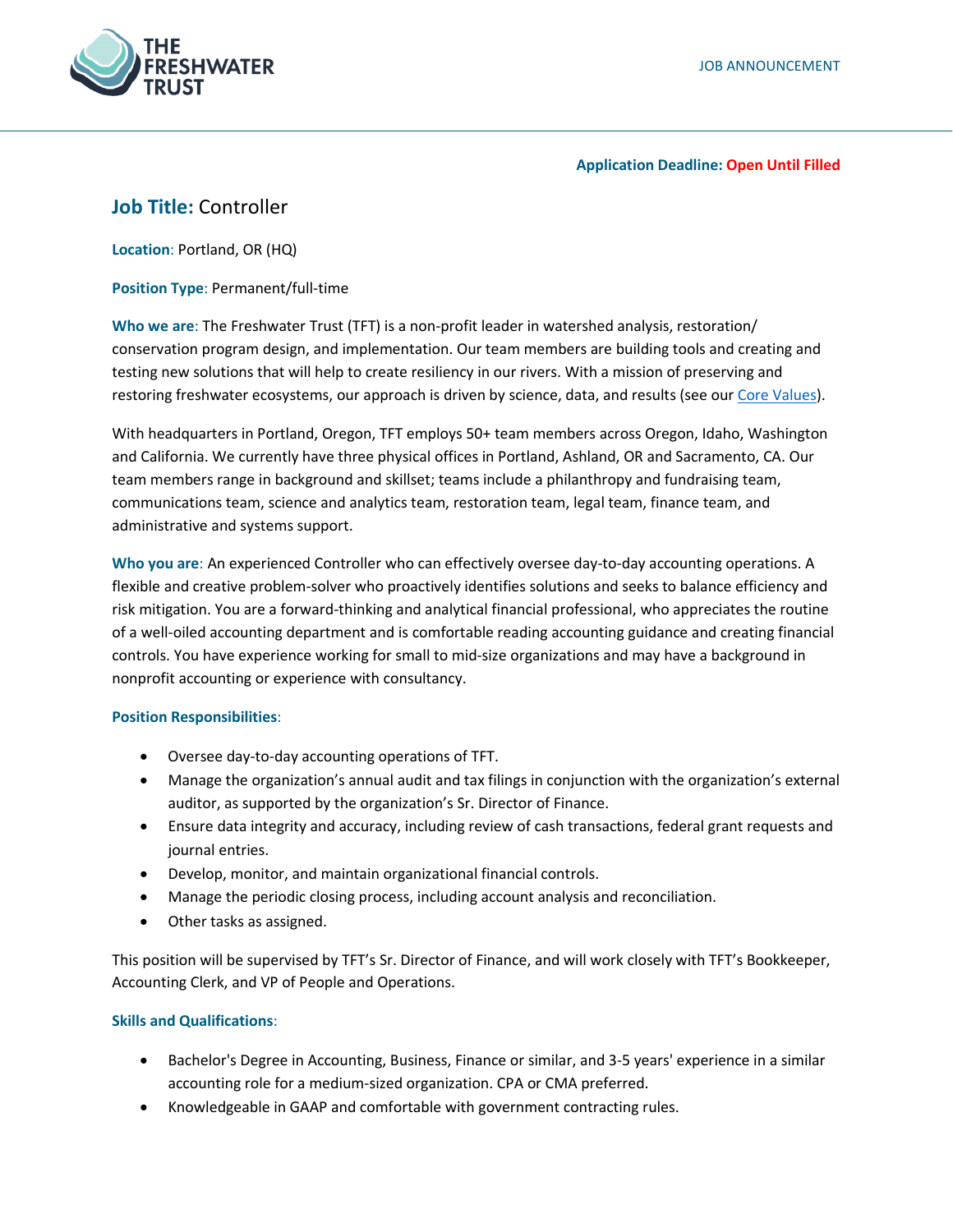

### **Application Deadline: Open Until Filled**

# **Job Title:** Controller

**Location**: Portland, OR (HQ)

**Position Type**: Permanent/full-time

**Who we are**: The Freshwater Trust (TFT) is a non-profit leader in watershed analysis, restoration/ conservation program design, and implementation. Our team members are building tools and creating and testing new solutions that will help to create resiliency in our rivers. With a mission of preserving and restoring freshwater ecosystems, our approach is driven by science, data, and results (see our [Core Values\)](https://www.thefreshwatertrust.org/about-us/core-values/).

With headquarters in Portland, Oregon, TFT employs 50+ team members across Oregon, Idaho, Washington and California. We currently have three physical offices in Portland, Ashland, OR and Sacramento, CA. Our team members range in background and skillset; teams include a philanthropy and fundraising team, communications team, science and analytics team, restoration team, legal team, finance team, and administrative and systems support.

**Who you are**: An experienced Controller who can effectively oversee day-to-day accounting operations. A flexible and creative problem-solver who proactively identifies solutions and seeks to balance efficiency and risk mitigation. You are a forward-thinking and analytical financial professional, who appreciates the routine of a well-oiled accounting department and is comfortable reading accounting guidance and creating financial controls. You have experience working for small to mid-size organizations and may have a background in nonprofit accounting or experience with consultancy.

## **Position Responsibilities**:

- Oversee day-to-day accounting operations of TFT.
- Manage the organization's annual audit and tax filings in conjunction with the organization's external auditor, as supported by the organization's Sr. Director of Finance.
- Ensure data integrity and accuracy, including review of cash transactions, federal grant requests and journal entries.
- Develop, monitor, and maintain organizational financial controls.
- Manage the periodic closing process, including account analysis and reconciliation.
- Other tasks as assigned.

This position will be supervised by TFT's Sr. Director of Finance, and will work closely with TFT's Bookkeeper, Accounting Clerk, and VP of People and Operations.

# **Skills and Qualifications**:

- Bachelor's Degree in Accounting, Business, Finance or similar, and 3-5 years' experience in a similar accounting role for a medium-sized organization. CPA or CMA preferred.
- Knowledgeable in GAAP and comfortable with government contracting rules.